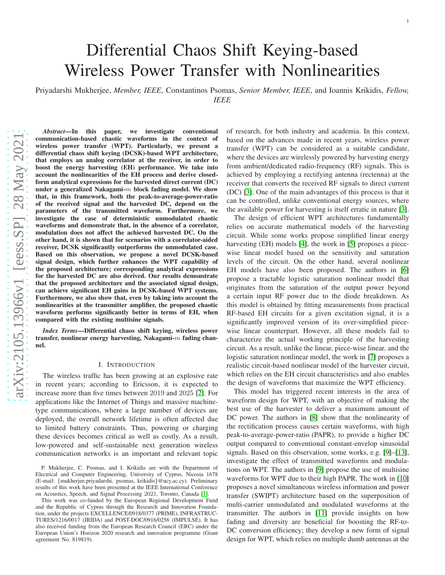# Differential Chaos Shift Keying-based Wireless Power Transfer with Nonlinearities

Priyadarshi Mukherjee, *Member, IEEE*, Constantinos Psomas, *Senior Member, IEEE*, and Ioannis Krikidis, *Fellow, IEEE*

*Abstract*—In this paper, we investigate conventional communication-based chaotic waveforms in the context of wireless power transfer (WPT). Particularly, we present a differential chaos shift keying (DCSK)-based WPT architecture, that employs an analog correlator at the receiver, in order to boost the energy harvesting (EH) performance. We take into account the nonlinearities of the EH process and derive closedform analytical expressions for the harvested direct current (DC) under a generalized Nakagami- $m$  block fading model. We show that, in this framework, both the peak-to-average-power-ratio of the received signal and the harvested DC, depend on the parameters of the transmitted waveform. Furthermore, we investigate the case of deterministic unmodulated chaotic waveforms and demonstrate that, in the absence of a correlator, modulation does not affect the achieved harvested DC. On the other hand, it is shown that for scenarios with a correlator-aided receiver, DCSK significantly outperforms the unmodulated case. Based on this observation, we propose a novel DCSK-based signal design, which further enhances the WPT capability of the proposed architecture; corresponding analytical expressions for the harvested DC are also derived. Our results demonstrate that the proposed architecture and the associated signal design, can achieve significant EH gains in DCSK-based WPT systems. Furthermore, we also show that, even by taking into account the nonlinearities at the transmitter amplifier, the proposed chaotic waveform performs significantly better in terms of EH, when compared with the existing multisine signals.

*Index Terms*—Differential chaos shift keying, wireless power transfer, nonlinear energy harvesting, Nakagami-m fading channel.

## I. INTRODUCTION

The wireless traffic has been growing at an explosive rate in recent years; according to Ericsson, it is expected to increase more than five times between 2019 and 2025 [\[2\]](#page-11-0). For applications like the Internet of Things and massive machinetype communications, where a large number of devices are deployed, the overall network lifetime is often affected due to limited battery constraints. Thus, powering or charging these devices becomes critical as well as costly. As a result, low-powered and self-sustainable next generation wireless communication networks is an important and relevant topic

This work was co-funded by the European Regional Development Fund and the Republic of Cyprus through the Research and Innovation Foundation, under the projects EXCELLENCE/0918/0377 (PRIME), INFRASTRUC-TURES/1216/0017 (IRIDA) and POST-DOC/0916/0256 (IMPULSE). It has also received funding from the European Research Council (ERC) under the European Union's Horizon 2020 research and innovation programme (Grant agreement No. 819819).

of research, for both industry and academia. In this context, based on the advances made in recent years, wireless power transfer (WPT) can be considered as a suitable candidate, where the devices are wirelessly powered by harvesting energy from ambient/dedicated radio-frequency (RF) signals. This is achieved by employing a rectifying antenna (rectenna) at the receiver that converts the received RF signals to direct current (DC) [\[3\]](#page-11-2). One of the main advantages of this process is that it can be controlled, unlike conventional energy sources, where the available power for harvesting is itself erratic in nature [\[3\]](#page-11-2).

1

The design of efficient WPT architectures fundamentally relies on accurate mathematical models of the harvesting circuit. While some works propose simplified linear energy harvesting (EH) models [\[4\]](#page-11-3), the work in [\[5\]](#page-11-4) proposes a piecewise linear model based on the sensitivity and saturation levels of the circuit. On the other hand, several nonlinear EH models have also been proposed. The authors in [\[6\]](#page-11-5) propose a tractable logistic saturation nonlinear model that originates from the saturation of the output power beyond a certain input RF power due to the diode breakdown. As this model is obtained by fitting measurements from practical RF-based EH circuits for a given excitation signal, it is a significantly improved version of its over-simplified piecewise linear counterpart. However, all these models fail to characterize the actual working principle of the harvesting circuit. As a result, unlike the linear, piece-wise linear, and the logistic saturation nonlinear model, the work in [\[7\]](#page-11-6) proposes a realistic circuit-based nonlinear model of the harvester circuit, which relies on the EH circuit characteristics and also enables the design of waveforms that maximize the WPT efficiency.

This model has triggered recent interests in the area of waveform design for WPT, with an objective of making the best use of the harvester to deliver a maximum amount of DC power. The authors in [\[8\]](#page-11-7) show that the nonlinearity of the rectification process causes certain waveforms, with high peak-to-average-power-ratio (PAPR), to provide a higher DC output compared to conventional constant-envelop sinusoidal signals. Based on this observation, some works, e.g. [\[9\]](#page-11-8)–[\[13\]](#page-11-9), investigate the effect of transmitted waveforms and modulations on WPT. The authors in [\[9\]](#page-11-8) propose the use of multisine waveforms for WPT due to their high PAPR. The work in [\[10\]](#page-11-10) proposes a novel simultaneous wireless information and power transfer (SWIPT) architecture based on the superposition of multi-carrier unmodulated and modulated waveforms at the transmitter. The authors in [\[11\]](#page-11-11) provide insights on how fading and diversity are beneficial for boosting the RF-to-DC conversion efficiency; they develop a new form of signal design for WPT, which relies on multiple dumb antennas at the

P. Mukherjee, C. Psomas, and I. Krikidis are with the Department of Electrical and Computer Engineering, University of Cyprus, Nicosia 1678 (E-mail: {mukherjee.priyadarshi, psomas, krikidis}@ucy.ac.cy). Preliminary results of this work have been presented at the IEEE International Conference on Acoustics, Speech, and Signal Processing 2021, Toronto, Canada [\[1\]](#page-11-1).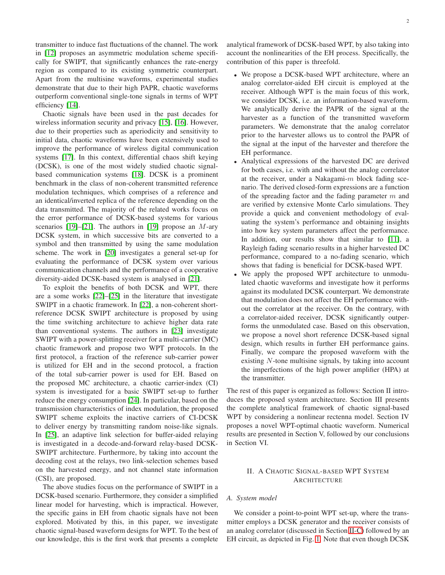transmitter to induce fast fluctuations of the channel. The work in [\[12\]](#page-11-12) proposes an asymmetric modulation scheme specifically for SWIPT, that significantly enhances the rate-energy region as compared to its existing symmetric counterpart. Apart from the multisine waveforms, experimental studies demonstrate that due to their high PAPR, chaotic waveforms outperform conventional single-tone signals in terms of WPT efficiency [\[14\]](#page-11-13).

Chaotic signals have been used in the past decades for wireless information security and privacy [\[15\]](#page-11-14), [\[16\]](#page-11-15). However, due to their properties such as aperiodicity and sensitivity to initial data, chaotic waveforms have been extensively used to improve the performance of wireless digital communication systems [\[17\]](#page-11-16). In this context, differential chaos shift keying (DCSK), is one of the most widely studied chaotic signalbased communication systems [\[18\]](#page-11-17). DCSK is a prominent benchmark in the class of non-coherent transmitted reference modulation techniques, which comprises of a reference and an identical/inverted replica of the reference depending on the data transmitted. The majority of the related works focus on the error performance of DCSK-based systems for various scenarios [\[19\]](#page-11-18)–[\[21\]](#page-12-0). The authors in [19] propose an  $M$ -ary DCSK system, in which successive bits are converted to a symbol and then transmitted by using the same modulation scheme. The work in [\[20\]](#page-12-1) investigates a general set-up for evaluating the performance of DCSK system over various communication channels and the performance of a cooperative diversity-aided DCSK-based system is analysed in [\[21\]](#page-12-0).

To exploit the benefits of both DCSK and WPT, there are a some works [\[22\]](#page-12-2)–[\[25\]](#page-12-3) in the literature that investigate SWIPT in a chaotic framework. In [\[22\]](#page-12-2), a non-coherent shortreference DCSK SWIPT architecture is proposed by using the time switching architecture to achieve higher data rate than conventional systems. The authors in [\[23\]](#page-12-4) investigate SWIPT with a power-splitting receiver for a multi-carrier (MC) chaotic framework and propose two WPT protocols. In the first protocol, a fraction of the reference sub-carrier power is utilized for EH and in the second protocol, a fraction of the total sub-carrier power is used for EH. Based on the proposed MC architecture, a chaotic carrier-index (CI) system is investigated for a basic SWIPT set-up to further reduce the energy consumption [\[24\]](#page-12-5). In particular, based on the transmission characteristics of index modulation, the proposed SWIPT scheme exploits the inactive carriers of CI-DCSK to deliver energy by transmitting random noise-like signals. In [\[25\]](#page-12-3), an adaptive link selection for buffer-aided relaying is investigated in a decode-and-forward relay-based DCSK-SWIPT architecture. Furthermore, by taking into account the decoding cost at the relays, two link-selection schemes based on the harvested energy, and not channel state information (CSI), are proposed.

The above studies focus on the performance of SWIPT in a DCSK-based scenario. Furthermore, they consider a simplified linear model for harvesting, which is impractical. However, the specific gains in EH from chaotic signals have not been explored. Motivated by this, in this paper, we investigate chaotic signal-based waveform designs for WPT. To the best of our knowledge, this is the first work that presents a complete

analytical framework of DCSK-based WPT, by also taking into account the nonlinearities of the EH process. Specifically, the contribution of this paper is threefold.

- We propose a DCSK-based WPT architecture, where an analog correlator-aided EH circuit is employed at the receiver. Although WPT is the main focus of this work, we consider DCSK, i.e. an information-based waveform. We analytically derive the PAPR of the signal at the harvester as a function of the transmitted waveform parameters. We demonstrate that the analog correlator prior to the harvester allows us to control the PAPR of the signal at the input of the harvester and therefore the EH performance.
- Analytical expressions of the harvested DC are derived for both cases, i.e. with and without the analog correlator at the receiver, under a Nakagami- $m$  block fading scenario. The derived closed-form expressions are a function of the spreading factor and the fading parameter  $m$  and are verified by extensive Monte Carlo simulations. They provide a quick and convenient methodology of evaluating the system's performance and obtaining insights into how key system parameters affect the performance. In addition, our results show that similar to [\[11\]](#page-11-11), a Rayleigh fading scenario results in a higher harvested DC performance, compared to a no-fading scenario, which shows that fading is beneficial for DCSK-based WPT.
- We apply the proposed WPT architecture to unmodulated chaotic waveforms and investigate how it performs against its modulated DCSK counterpart. We demonstrate that modulation does not affect the EH performance without the correlator at the receiver. On the contrary, with a correlator-aided receiver, DCSK significantly outperforms the unmodulated case. Based on this observation, we propose a novel short reference DCSK-based signal design, which results in further EH performance gains. Finally, we compare the proposed waveform with the existing N-tone multisine signals, by taking into account the imperfections of the high power amplifier (HPA) at the transmitter.

The rest of this paper is organized as follows: Section II introduces the proposed system architecture. Section III presents the complete analytical framework of chaotic signal-based WPT by considering a nonlinear rectenna model. Section IV proposes a novel WPT-optimal chaotic waveform. Numerical results are presented in Section V, followed by our conclusions in Section VI.

## II. A CHAOTIC SIGNAL-BASED WPT SYSTEM ARCHITECTURE

## *A. System model*

We consider a point-to-point WPT set-up, where the transmitter employs a DCSK generator and the receiver consists of an analog correlator (discussed in Section [II-C\)](#page-2-0) followed by an EH circuit, as depicted in Fig. [1.](#page-2-1) Note that even though DCSK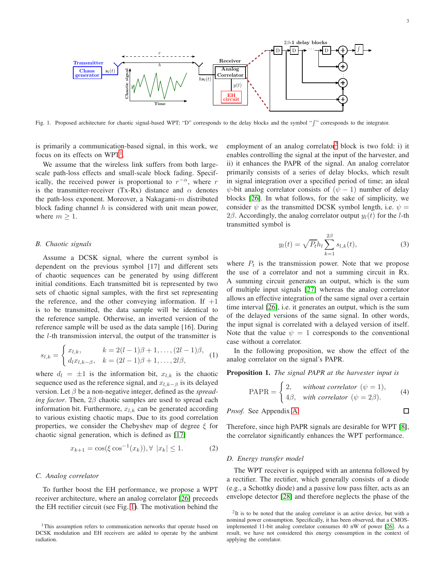$\Box$ 



<span id="page-2-1"></span>Fig. 1. Proposed architecture for chaotic signal-based WPT; "D" corresponds to the delay blocks and the symbol " [" corresponds to the integrator.

is primarily a communication-based signal, in this work, we focus on its effects on  $WPT<sup>1</sup>$  $WPT<sup>1</sup>$  $WPT<sup>1</sup>$ .

We assume that the wireless link suffers from both largescale path-loss effects and small-scale block fading. Specifically, the received power is proportional to  $r^{-\alpha}$ , where r is the transmitter-receiver (Tx-Rx) distance and  $\alpha$  denotes the path-loss exponent. Moreover, a Nakagami- $m$  distributed block fading channel  $h$  is considered with unit mean power, where  $m > 1$ .

## *B. Chaotic signals*

Assume a DCSK signal, where the current symbol is dependent on the previous symbol [17] and different sets of chaotic sequences can be generated by using different initial conditions. Each transmitted bit is represented by two sets of chaotic signal samples, with the first set representing the reference, and the other conveying information. If  $+1$ is to be transmitted, the data sample will be identical to the reference sample. Otherwise, an inverted version of the reference sample will be used as the data sample [16]. During the l-th transmission interval, the output of the transmitter is

$$
s_{l,k} = \begin{cases} x_{l,k}, & k = 2(l-1)\beta + 1, \dots, (2l-1)\beta, \\ d_l x_{l,k-\beta}, & k = (2l-1)\beta + 1, \dots, 2l\beta, \end{cases}
$$
 (1)

where  $d_l = \pm 1$  is the information bit,  $x_{l,k}$  is the chaotic sequence used as the reference signal, and  $x_{l,k-\beta}$  is its delayed version. Let β be a non-negative integer, defined as the *spreading factor*. Then, 2β chaotic samples are used to spread each information bit. Furthermore,  $x_{l,k}$  can be generated according to various existing chaotic maps. Due to its good correlation properties, we consider the Chebyshev map of degree  $\xi$  for chaotic signal generation, which is defined as [\[17\]](#page-11-16)

$$
x_{k+1} = \cos(\xi \cos^{-1}(x_k)), \forall |x_k| \le 1.
$$
 (2)

## <span id="page-2-0"></span>*C. Analog correlator*

To further boost the EH performance, we propose a WPT receiver architecture, where an analog correlator [\[26\]](#page-12-6) preceeds the EH rectifier circuit (see Fig. [1\)](#page-2-1). The motivation behind the

employment of an analog correlator<sup>[2](#page-2-3)</sup> block is two fold: i) it enables controlling the signal at the input of the harvester, and ii) it enhances the PAPR of the signal. An analog correlator primarily consists of a series of delay blocks, which result in signal integration over a specified period of time; an ideal  $\psi$ -bit analog correlator consists of  $(\psi - 1)$  number of delay blocks [\[26\]](#page-12-6). In what follows, for the sake of simplicity, we consider  $\psi$  as the transmitted DCSK symbol length, i.e.  $\psi =$ 2β. Accordingly, the analog correlator output  $y_l(t)$  for the *l*-th transmitted symbol is

<span id="page-2-4"></span>
$$
y_l(t) = \sqrt{P_t} h_l \sum_{k=1}^{2\beta} s_{l,k}(t),
$$
 (3)

where  $P_t$  is the transmission power. Note that we propose the use of a correlator and not a summing circuit in Rx. A summing circuit generates an output, which is the sum of multiple input signals [\[27\]](#page-12-7) whereas the analog correlator allows an effective integration of the same signal over a certain time interval [\[26\]](#page-12-6), i.e. it generates an output, which is the sum of the delayed versions of the same signal. In other words, the input signal is correlated with a delayed version of itself. Note that the value  $\psi = 1$  corresponds to the conventional case without a correlator.

In the following proposition, we show the effect of the analog correlator on the signal's PAPR.

<span id="page-2-5"></span>Proposition 1. *The signal PAPR at the harvester input is*

$$
PAPR = \begin{cases} 2, & \text{without correlator } (\psi = 1), \\ 4\beta, & \text{with correlator } (\psi = 2\beta). \end{cases} (4)
$$

*Proof.* See Appendix [A.](#page-8-0)

Therefore, since high PAPR signals are desirable for WPT [\[8\]](#page-11-7), the correlator significantly enhances the WPT performance.

#### *D. Energy transfer model*

The WPT receiver is equipped with an antenna followed by a rectifier. The rectifier, which generally consists of a diode (e.g., a Schottky diode) and a passive low pass filter, acts as an envelope detector [\[28\]](#page-12-8) and therefore neglects the phase of the

<span id="page-2-2"></span><sup>&</sup>lt;sup>1</sup>This assumption refers to communication networks that operate based on DCSK modulation and EH receivers are added to operate by the ambient radiation.

<span id="page-2-3"></span><sup>&</sup>lt;sup>2</sup>It is to be noted that the analog correlator is an active device, but with a nominal power consumption. Specifically, it has been observed, that a CMOSimplemented 11-bit analog correlator consumes 40 nW of power [\[26\]](#page-12-6). As a result, we have not considered this energy consumption in the context of applying the correlator.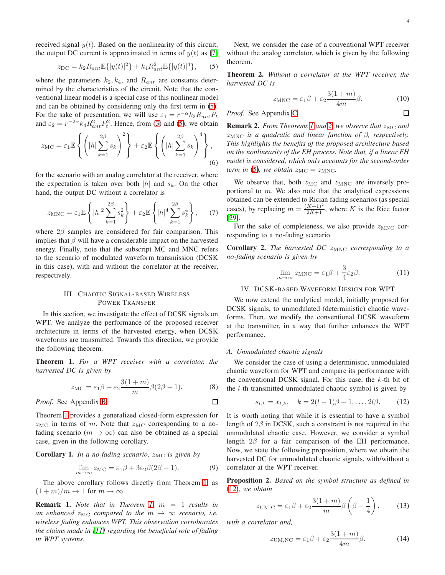$\Box$ 

received signal  $y(t)$ . Based on the nonlinearity of this circuit, the output DC current is approximated in terms of  $y(t)$  as [\[7\]](#page-11-6)

<span id="page-3-0"></span>
$$
z_{\rm DC} = k_2 R_{ant} \mathbb{E}\{|y(t)|^2\} + k_4 R_{ant}^2 \mathbb{E}\{|y(t)|^4\},\qquad(5)
$$

where the parameters  $k_2, k_4$ , and  $R_{ant}$  are constants determined by the characteristics of the circuit. Note that the conventional linear model is a special case of this nonlinear model and can be obtained by considering only the first term in [\(5\)](#page-3-0). For the sake of presentation, we will use  $\varepsilon_1 = r^{-\alpha} k_2 R_{ant} P_t$ and  $\varepsilon_2 = r^{-2\alpha} k_4 R_{ant}^2 P_t^2$ . Hence, from [\(3\)](#page-2-4) and [\(5\)](#page-3-0), we obtain

$$
z_{\rm MC} = \varepsilon_1 \mathbb{E} \left\{ \left( |h| \sum_{k=1}^{2\beta} s_k \right)^2 \right\} + \varepsilon_2 \mathbb{E} \left\{ \left( |h| \sum_{k=1}^{2\beta} s_k \right)^4 \right\},\tag{6}
$$

for the scenario with an analog correlator at the receiver, where the expectation is taken over both  $|h|$  and  $s_k$ . On the other hand, the output DC without a correlator is

$$
z_{\rm MNC} = \varepsilon_1 \mathbb{E}\left\{|h|^2 \sum_{k=1}^{2\beta} s_k^2\right\} + \varepsilon_2 \mathbb{E}\left\{|h|^4 \sum_{k=1}^{2\beta} s_k^4\right\},\qquad(7)
$$

where  $2\beta$  samples are considered for fair comparison. This implies that  $\beta$  will have a considerable impact on the harvested energy. Finally, note that the subscript MC and MNC refers to the scenario of modulated waveform transmission (DCSK in this case), with and without the correlator at the receiver, respectively.

## III. CHAOTIC SIGNAL-BASED WIRELESS POWER TRANSFER

<span id="page-3-5"></span>In this section, we investigate the effect of DCSK signals on WPT. We analyze the performance of the proposed receiver architecture in terms of the harvested energy, when DCSK waveforms are transmitted. Towards this direction, we provide the following theorem.

<span id="page-3-1"></span>Theorem 1. *For a WPT receiver with a correlator, the harvested DC is given by*

<span id="page-3-7"></span>
$$
z_{\rm MC} = \varepsilon_1 \beta + \varepsilon_2 \frac{3(1+m)}{m} \beta(2\beta - 1).
$$
 (8)

*Proof.* See Appendix [B.](#page-9-0)

Theorem [1](#page-3-1) provides a generalized closed-form expression for  $z_{\text{MC}}$  in terms of m. Note that  $z_{\text{MC}}$  corresponding to a nofading scenario ( $m \to \infty$ ) can also be obtained as a special case, given in the following corollary.

**Corollary 1.** *In a no-fading scenario,*  $z_{MC}$  *is given by* 

$$
\lim_{m \to \infty} z_{\text{MC}} = \varepsilon_1 \beta + 3\varepsilon_2 \beta (2\beta - 1). \tag{9}
$$

The above corollary follows directly from Theorem [1,](#page-3-1) as  $(1 + m)/m \rightarrow 1$  for  $m \rightarrow \infty$ .

Remark 1. *Note that in Theorem [1,](#page-3-1)* m = 1 *results in an enhanced*  $z_{MC}$  *compared to the*  $m \rightarrow \infty$  *scenario, i.e. wireless fading enhances WPT. This observation corroborates the claims made in [\[11\]](#page-11-11) regarding the beneficial role of fading in WPT systems.*

Next, we consider the case of a conventional WPT receiver without the analog correlator, which is given by the following theorem.

<span id="page-3-2"></span>Theorem 2. *Without a correlator at the WPT receiver, the harvested DC is*

<span id="page-3-8"></span>
$$
z_{\rm MNC} = \varepsilon_1 \beta + \varepsilon_2 \frac{3(1+m)}{4m} \beta. \tag{10}
$$

*Proof.* See Appendix [C.](#page-10-0)

**Remark 2.** *From Theorems [1](#page-3-1) and [2,](#page-3-2) we observe that*  $z_{\text{MC}}$  *and* zMNC *is a quadratic and linear function of* β*, respectively. This highlights the benefits of the proposed architecture based on the nonlinearity of the EH process. Note that, if a linear EH model is considered, which only accounts for the second-order term in* [\(5\)](#page-3-0)*, we obtain*  $z_{MC} = z_{MNC}$ *.* 

<span id="page-3-9"></span>We observe that, both  $z_{\text{MC}}$  and  $z_{\text{MNC}}$  are inversely proportional to  $m$ . We also note that the analytical expressions obtained can be extended to Rician fading scenarios (as special cases), by replacing  $m = \frac{(K+1)^2}{2K+1}$ , where K is the Rice factor [\[29\]](#page-12-9).

<span id="page-3-10"></span>For the sake of completeness, we also provide  $z_{\text{MNC}}$  corresponding to a no-fading scenario.

**Corollary 2.** *The harvested DC*  $z_{\text{MNC}}$  *corresponding to a no-fading scenario is given by*

$$
\lim_{m \to \infty} z_{\text{MNC}} = \varepsilon_1 \beta + \frac{3}{4} \varepsilon_2 \beta. \tag{11}
$$

<span id="page-3-6"></span>IV. DCSK-BASED WAVEFORM DESIGN FOR WPT

We now extend the analytical model, initially proposed for DCSK signals, to unmodulated (deterministic) chaotic waveforms. Then, we modify the conventional DCSK waveform at the transmitter, in a way that further enhances the WPT performance.

#### *A. Unmodulated chaotic signals*

We consider the case of using a deterministic, unmodulated chaotic waveform for WPT and compare its performance with the conventional DCSK signal. For this case, the  $k$ -th bit of the l-th transmitted unmodulated chaotic symbol is given by

<span id="page-3-3"></span>
$$
s_{l,k} = x_{l,k}, \quad k = 2(l-1)\beta + 1, \dots, 2l\beta. \tag{12}
$$

It is worth noting that while it is essential to have a symbol length of  $2\beta$  in DCSK, such a constraint is not required in the unmodulated chaotic case. However, we consider a symbol length 2β for a fair comparison of the EH performance. Now, we state the following proposition, where we obtain the harvested DC for unmodulated chaotic signals, with/without a correlator at the WPT receiver.

<span id="page-3-4"></span>Proposition 2. *Based on the symbol structure as defined in* [\(12\)](#page-3-3)*, we obtain*

$$
z_{\text{UM,C}} = \varepsilon_1 \beta + \varepsilon_2 \frac{3(1+m)}{m} \beta \left(\beta - \frac{1}{4}\right),\qquad(13)
$$

*with a correlator and,*

□

$$
z_{\text{UM,NC}} = \varepsilon_1 \beta + \varepsilon_2 \frac{3(1+m)}{4m} \beta,\tag{14}
$$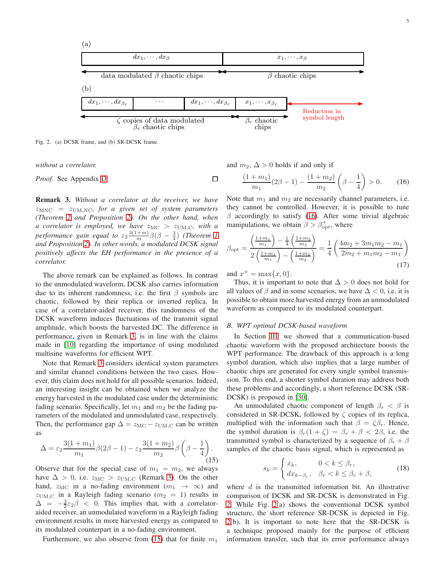

 $\Box$ 

<span id="page-4-3"></span>Fig. 2. (a) DCSK frame, and (b) SR-DCSK frame.

*without a correlator.*

*Proof.* See Appendix [D.](#page-10-1)

<span id="page-4-0"></span>Remark 3. *Without a correlator at the receiver, we have*  $z_{\text{MNC}} = z_{\text{UM,NC}}$ , for a given set of system parameters *(Theorem [2](#page-3-2) and Proposition [2\)](#page-3-4). On the other hand, when a* correlator is employed, we have  $z_{MC}$  >  $z_{UM,C}$ , with a *performance gain equal to*  $\varepsilon_2 \frac{3(1+m)}{m} \beta(\beta - \frac{3}{4})$  *(Theorem [1](#page-3-1) and Proposition [2\)](#page-3-4). In other words, a modulated DCSK signal positively affects the EH performance in the presence of a correlator.*

The above remark can be explained as follows. In contrast to the unmodulated waveform, DCSK also carries information due to its inherent randomness, i.e. the first  $\beta$  symbols are chaotic, followed by their replica or inverted replica. In case of a correlator-aided receiver, this randomness of the DCSK waveform induces fluctuations of the transmit signal amplitude, which boosts the harvested DC. The difference in performance, given in Remark [3,](#page-4-0) is in line with the claims made in [\[10\]](#page-11-10) regarding the importance of using modulated multisine waveforms for efficient WPT.

Note that Remark [3](#page-4-0) considers identical system parameters and similar channel conditions between the two cases. However, this claim does not hold for all possible scenarios. Indeed, an interesting insight can be obtained when we analyze the energy harvested in the modulated case under the deterministic fading scenario. Specifically, let  $m_1$  and  $m_2$  be the fading parameters of the modulated and unmodulated case, respectively. Then, the performance gap  $\Delta = z_{\text{MC}} - z_{\text{UM,C}}$  can be written as

<span id="page-4-1"></span>
$$
\Delta = \varepsilon_2 \frac{3(1+m_1)}{m_1} \beta(2\beta - 1) - \varepsilon_2 \frac{3(1+m_2)}{m_2} \beta \left(\beta - \frac{1}{4}\right). \tag{15}
$$

Observe that for the special case of  $m_1 = m_2$ , we always have  $\Delta > 0$ , i.e.  $z_{\text{MC}} > z_{\text{UM,C}}$  (Remark [3\)](#page-4-0). On the other hand,  $z_{\text{MC}}$  in a no-fading environment  $(m_1 \rightarrow \infty)$  and  $z_{\text{UM,C}}$  in a Rayleigh fading scenario ( $m_2 = 1$ ) results in  $\Delta = -\frac{3}{2}\epsilon_2\beta < 0$ . This implies that, with a correlatoraided receiver, an unmodulated waveform in a Rayleigh fading environment results in more harvested energy as compared to its modulated counterpart in a no-fading environment.

Furthermore, we also observe from [\(15\)](#page-4-1) that for finite  $m_1$ 

and  $m_2$ ,  $\Delta > 0$  holds if and only if

<span id="page-4-2"></span>
$$
\frac{(1+m_1)}{m_1}(2\beta - 1) - \frac{(1+m_2)}{m_2}\left(\beta - \frac{1}{4}\right) > 0.
$$
 (16)

Note that  $m_1$  and  $m_2$  are necessarily channel parameters, i.e. they cannot be controlled. However, it is possible to tune  $\beta$  accordingly to satisfy [\(16\)](#page-4-2). After some trivial algebraic manipulations, we obtain  $\beta > \beta_{\rm opt}^+$ , where

<span id="page-4-5"></span>
$$
\beta_{\rm opt} = \frac{\left(\frac{1+m_1}{m_1}\right) - \frac{1}{4}\left(\frac{1+m_2}{m_2}\right)}{2\left(\frac{1+m_1}{m_1}\right) - \left(\frac{1+m_2}{m_2}\right)} = \frac{1}{4}\left(\frac{4m_2 + 3m_1m_2 - m_1}{2m_2 + m_1m_2 - m_1}\right)
$$
\n(17)

and  $x^+ = \max\{x, 0\}.$ 

Thus, it is important to note that  $\Delta > 0$  does not hold for all values of  $\beta$  and in some scenarios, we have  $\Delta < 0$ , i.e. it is possible to obtain more harvested energy from an unmodulated waveform as compared to its modulated counterpart.

#### *B. WPT optimal DCSK-based waveform*

In Section [III,](#page-3-5) we showed that a communication-based chaotic waveform with the proposed architecture boosts the WPT performance. The drawback of this approach is a long symbol duration, which also implies that a large number of chaotic chips are generated for every single symbol transmission. To this end, a shorter symbol duration may address both these problems and accordingly, a short reference DCSK (SR-DCSK) is proposed in [\[30\]](#page-12-10).

An unmodulated chaotic component of length  $\beta_r < \beta$  is considered in SR-DCSK, followed by  $\zeta$  copies of its replica, multiplied with the information such that  $\beta = \zeta \beta_r$ . Hence, the symbol duration is  $\beta_r(1+\zeta) = \beta_r + \beta < 2\beta$ , i.e. the transmitted symbol is characterized by a sequence of  $\beta_r + \beta$ samples of the chaotic basis signal, which is represented as

<span id="page-4-4"></span>
$$
s_k = \begin{cases} x_k, & 0 < k \le \beta_r, \\ dx_{k-\beta_r}, & \beta_r < k \le \beta_r + \beta, \end{cases} \tag{18}
$$

where  $d$  is the transmitted information bit. An illustrative comparison of DCSK and SR-DCSK is demonstrated in Fig. [2.](#page-4-3) While Fig. [2\(](#page-4-3)a) shows the conventional DCSK symbol structure, the short reference SR-DCSK is depicted in Fig. [2\(](#page-4-3)b). It is important to note here that the SR-DCSK is a technique proposed mainly for the purpose of efficient information transfer, such that its error performance always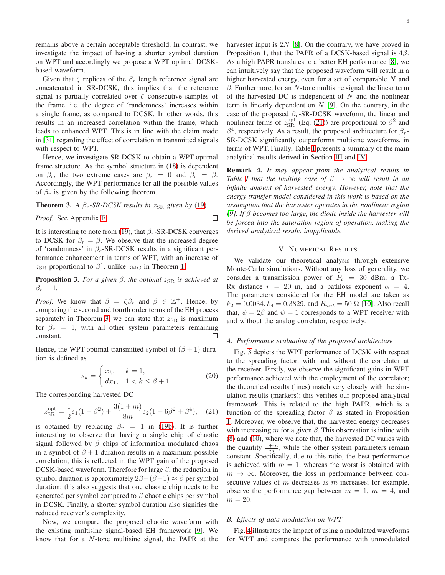remains above a certain acceptable threshold. In contrast, we investigate the impact of having a shorter symbol duration on WPT and accordingly we propose a WPT optimal DCSKbased waveform.

Given that  $\zeta$  replicas of the  $\beta_r$  length reference signal are concatenated in SR-DCSK, this implies that the reference signal is partially correlated over  $\zeta$  consecutive samples of the frame, i.e. the degree of 'randomness' increases within a single frame, as compared to DCSK. In other words, this results in an increased correlation within the frame, which leads to enhanced WPT. This is in line with the claim made in [\[31\]](#page-12-11) regarding the effect of correlation in transmitted signals with respect to WPT.

Hence, we investigate SR-DCSK to obtain a WPT-optimal frame structure. As the symbol structure in [\(18\)](#page-4-4) is dependent on  $\beta_r$ , the two extreme cases are  $\beta_r = 0$  and  $\beta_r = \beta$ . Accordingly, the WPT performance for all the possible values of  $\beta_r$  is given by the following theorem.

<span id="page-5-0"></span>**Theorem 3.** *A*  $\beta_r$ -*SR-DCSK results in*  $z_{\text{SR}}$  *given by* [\(19\)](#page-6-0)*.* 

*Proof.* See Appendix [E.](#page-10-2)

 $\Box$ 

It is interesting to note from [\(19\)](#page-6-0), that  $\beta_r$ -SR-DCSK converges to DCSK for  $\beta_r = \beta$ . We observe that the increased degree of 'randomness' in  $\beta_r$ -SR-DCSK results in a significant performance enhancement in terms of WPT, with an increase of  $z_{\text{SR}}$  proportional to  $\beta^4$ , unlike  $z_{\text{MC}}$  in Theorem [1.](#page-3-1)

**Proposition 3.** *For a given*  $\beta$ *, the optimal*  $z_{SR}$  *is achieved at*  $\beta_r=1$ .

*Proof.* We know that  $\beta = \zeta \beta_r$  and  $\beta \in \mathbb{Z}^+$ . Hence, by comparing the second and fourth order terms of the EH process separately in Theorem [3,](#page-5-0) we can state that  $z_{SR}$  is maximum for  $\beta_r = 1$ , with all other system parameters remaining constant. ⊡

Hence, the WPT-optimal transmitted symbol of  $(\beta + 1)$  duration is defined as

$$
s_k = \begin{cases} x_k, & k = 1, \\ dx_1, & 1 < k \le \beta + 1. \end{cases}
$$
 (20)

The corresponding harvested DC

<span id="page-5-1"></span>
$$
z_{\rm SR}^{\rm opt} = \frac{1}{2}\varepsilon_1(1+\beta^2) + \frac{3(1+m)}{8m}\varepsilon_2(1+6\beta^2+\beta^4), \quad (21)
$$

is obtained by replacing  $\beta_r = 1$  in [\(19b\)](#page-6-0). It is further interesting to observe that having a single chip of chaotic signal followed by  $\beta$  chips of information modulated chaos in a symbol of  $\beta + 1$  duration results in a maximum possible correlation; this is reflected in the WPT gain of the proposed DCSK-based waveform. Therefore for large  $\beta$ , the reduction in symbol duration is approximately  $2\beta-(\beta+1) \approx \beta$  per symbol duration; this also suggests that one chaotic chip needs to be generated per symbol compared to  $\beta$  chaotic chips per symbol in DCSK. Finally, a shorter symbol duration also signifies the reduced receiver's complexity.

Now, we compare the proposed chaotic waveform with the existing multisine signal-based EH framework [\[9\]](#page-11-8). We know that for a N-tone multisine signal, the PAPR at the

harvester input is  $2N$  [\[8\]](#page-11-7). On the contrary, we have proved in Proposition 1, that the PAPR of a DCSK-based signal is  $4\beta$ . As a high PAPR translates to a better EH performance [\[8\]](#page-11-7), we can intuitively say that the proposed waveform will result in a higher harvested energy, even for a set of comparable N and  $β$ . Furthermore, for an N-tone multisine signal, the linear term of the harvested DC is independent of  $N$  and the nonlinear term is linearly dependent on  $N$  [\[9\]](#page-11-8). On the contrary, in the case of the proposed  $\beta_r$ -SR-DCSK waveform, the linear and nonlinear terms of  $z_{SR}^{opt}$  (Eq. [\(21\)](#page-5-1)) are proportional to  $\beta^2$  and  $\beta^4$ , respectively. As a result, the proposed architecture for  $\beta_r$ -SR-DCSK significantly outperforms multisine waveforms, in terms of WPT. Finally, Table [I](#page-6-1) presents a summary of the main analytical results derived in Section [III](#page-3-5) and [IV.](#page-3-6)

Remark 4. *It may appear from the analytical results in Table I* that the limiting case of  $\beta \rightarrow \infty$  will result in an *infinite amount of harvested energy. However, note that the energy transfer model considered in this work is based on the assumption that the harvester operates in the nonlinear region [\[9\]](#page-11-8). If* β *becomes too large, the diode inside the harvester will be forced into the saturation region of operation, making the derived analytical results inapplicable.*

#### V. NUMERICAL RESULTS

We validate our theoretical analysis through extensive Monte-Carlo simulations. Without any loss of generality, we consider a transmission power of  $P_t = 30$  dBm, a Tx-Rx distance  $r = 20$  m, and a pathloss exponent  $\alpha = 4$ . The parameters considered for the EH model are taken as  $k_2 = 0.0034, k_4 = 0.3829$ , and  $R_{ant} = 50 \Omega$  [\[10\]](#page-11-10). Also recall that,  $\psi = 2\beta$  and  $\psi = 1$  corresponds to a WPT receiver with and without the analog correlator, respectively.

## *A. Performance evaluation of the proposed architecture*

Fig. [3](#page-6-2) depicts the WPT performance of DCSK with respect to the spreading factor, with and without the correlator at the receiver. Firstly, we observe the significant gains in WPT performance achieved with the employment of the correlator; the theoretical results (lines) match very closely with the simulation results (markers); this verifies our proposed analytical framework. This is related to the high PAPR, which is a function of the spreading factor  $\beta$  as stated in Proposition [1.](#page-2-5) Moreover, we observe that, the harvested energy decreases with increasing m for a given  $\beta$ . This observation is inline with [\(8\)](#page-3-7) and [\(10\)](#page-3-8), where we note that, the harvested DC varies with the quantity  $\frac{1+m}{m}$ , while the other system parameters remain constant. Specifically, due to this ratio, the best performance is achieved with  $m = 1$ , whereas the worst is obtained with  $m \to \infty$ . Moreover, the loss in performance between consecutive values of  $m$  decreases as  $m$  increases; for example, observe the performance gap between  $m = 1$ ,  $m = 4$ , and  $m = 20$ .

## *B. Effects of data modulation on WPT*

Fig. [4](#page-6-3) illustrates the impact of using a modulated waveforms for WPT and compares the performance with unmodulated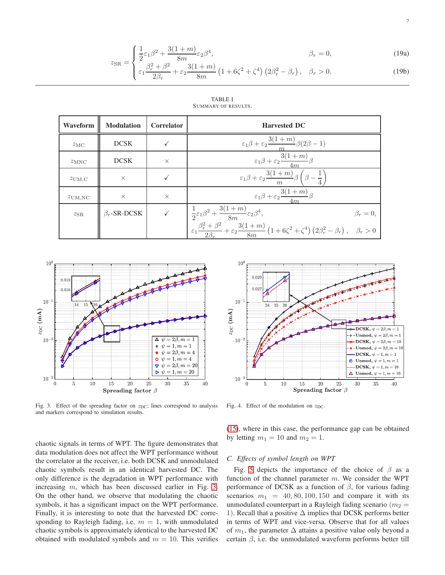$$
z_{\rm SR} = \begin{cases} \frac{1}{2}\varepsilon_1 \beta^2 + \frac{3(1+m)}{8m}\varepsilon_2 \beta^4, & \beta_r = 0, \\ \frac{\beta^2}{\beta^2 + \beta^2} & 3(1+m) \end{cases}
$$
(19a)

$$
\xi_{\rm SK} = \begin{cases}\n\varepsilon_1 \frac{\beta_r^2 + \beta^2}{2\beta_r} + \varepsilon_2 \frac{3(1+m)}{8m} \left(1 + 6\zeta^2 + \zeta^4\right) \left(2\beta_r^2 - \beta_r\right), & \beta_r > 0.\n\end{cases}\n\tag{19b}
$$

<span id="page-6-1"></span><span id="page-6-0"></span>

| Waveform           | <b>Modulation</b>  | <b>Correlator</b> | <b>Harvested DC</b>                                                                                                                                                                                                                                                                                                             |  |
|--------------------|--------------------|-------------------|---------------------------------------------------------------------------------------------------------------------------------------------------------------------------------------------------------------------------------------------------------------------------------------------------------------------------------|--|
| $z_{\rm MC}$       | <b>DCSK</b>        |                   | $\varepsilon_1 \beta + \varepsilon_2 \frac{3(1+m)}{\beta(2\beta-1)}$                                                                                                                                                                                                                                                            |  |
| $z_{\rm MNC}$      | <b>DCSK</b>        | $\times$          | $\varepsilon_1\beta+\varepsilon_2\frac{3(1+m)}{4m}\beta$                                                                                                                                                                                                                                                                        |  |
| $z_{\text{UM,C}}$  | $\times$           |                   | $\varepsilon_1 \beta + \varepsilon_2 \frac{3(1+m)}{\beta} \beta \left( \beta - \frac{1}{n} \right)$<br>m                                                                                                                                                                                                                        |  |
| $z_{\text{UM,NC}}$ | $\times$           | $\times$          | $\varepsilon_1\beta + \varepsilon_2 \frac{3(1+m)}{2}\beta$                                                                                                                                                                                                                                                                      |  |
| $z_{\rm SR}$       | $\beta_r$ -SR-DCSK |                   |                                                                                                                                                                                                                                                                                                                                 |  |
|                    |                    |                   | $\label{eq:3.1} \begin{array}{ll} \sqrt{ \qquad \  \  } & \frac{1}{2}\varepsilon_1\beta^2+\frac{3(1+m)}{8m}\varepsilon_2\beta^4, & \beta_r=0, \\ & \\ \varepsilon_1\frac{\beta_r^2+\beta^2}{\alpha\beta}+\varepsilon_2\frac{3(1+m)}{8m}\left(1+6\zeta^2+\zeta^4\right)\left(2\beta_r^2-\beta_r\right), & \beta_r>0 \end{array}$ |  |

TABLE I SUMMARY OF RESULTS.



<span id="page-6-2"></span>Fig. 3. Effect of the spreading factor on  $z_{DC}$ ; lines correspond to analysis and markers correspond to simulation results.

chaotic signals in terms of WPT. The figure demonstrates that data modulation does not affect the WPT performance without the correlator at the receiver, i.e. both DCSK and unmodulated chaotic symbols result in an identical harvested DC. The only difference is the degradation in WPT performance with increasing m, which has been discussed earlier in Fig. [3.](#page-6-2) On the other hand, we observe that modulating the chaotic symbols, it has a significant impact on the WPT performance. Finally, it is interesting to note that the harvested DC corresponding to Rayleigh fading, i.e.  $m = 1$ , with unmodulated chaotic symbols is approximately identical to the harvested DC obtained with modulated symbols and  $m = 10$ . This verifies



<span id="page-6-3"></span>Fig. 4. Effect of the modulation on  $z_{DC}$ .

[\(15\)](#page-4-1), where in this case, the performance gap can be obtained by letting  $m_1 = 10$  and  $m_2 = 1$ .

#### *C. Effects of symbol length on WPT*

Fig. [5](#page-7-0) depicts the importance of the choice of  $\beta$  as a function of the channel parameter  $m$ . We consider the WPT performance of DCSK as a function of  $\beta$ , for various fading scenarios  $m_1 = 40, 80, 100, 150$  and compare it with its unmodulated counterpart in a Rayleigh fading scenario ( $m_2$  = 1). Recall that a positive  $\Delta$  implies that DCSK performs better in terms of WPT and vice-versa. Observe that for all values of  $m_1$ , the parameter  $\Delta$  attains a positive value only beyond a certain  $\beta$ , i.e. the unmodulated waveform performs better till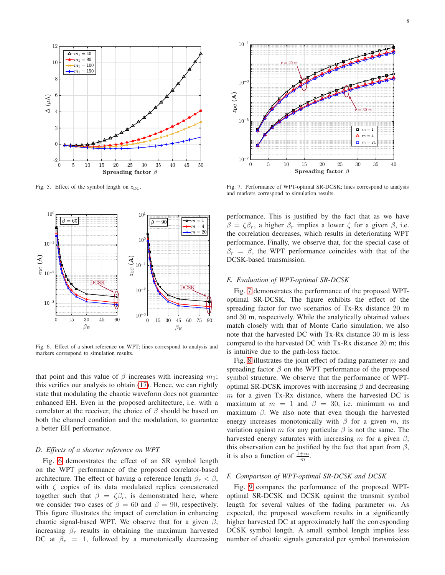

<span id="page-7-0"></span>Fig. 5. Effect of the symbol length on  $z_{DC}$ .



<span id="page-7-1"></span>Fig. 6. Effect of a short reference on WPT; lines correspond to analysis and markers correspond to simulation results.

that point and this value of  $\beta$  increases with increasing  $m_1$ ; this verifies our analysis to obtain [\(17\)](#page-4-5). Hence, we can rightly state that modulating the chaotic waveform does not guarantee enhanced EH. Even in the proposed architecture, i.e. with a correlator at the receiver, the choice of  $\beta$  should be based on both the channel condition and the modulation, to guarantee a better EH performance.

#### *D. Effects of a shorter reference on WPT*

Fig. [6](#page-7-1) demonstrates the effect of an SR symbol length on the WPT performance of the proposed correlator-based architecture. The effect of having a reference length  $\beta_r < \beta$ , with  $\zeta$  copies of its data modulated replica concatenated together such that  $\beta = \zeta \beta_r$ , is demonstrated here, where we consider two cases of  $\beta = 60$  and  $\beta = 90$ , respectively. This figure illustrates the impact of correlation in enhancing chaotic signal-based WPT. We observe that for a given  $\beta$ , increasing  $\beta_r$  results in obtaining the maximum harvested DC at  $\beta_r = 1$ , followed by a monotonically decreasing



<span id="page-7-2"></span>Fig. 7. Performance of WPT-optimal SR-DCSK; lines correspond to analysis and markers correspond to simulation results.

performance. This is justified by the fact that as we have  $\beta = \zeta \beta_r$ , a higher  $\beta_r$  implies a lower  $\zeta$  for a given  $\beta$ , i.e. the correlation decreases, which results in deteriorating WPT performance. Finally, we observe that, for the special case of  $\beta_r = \beta$ , the WPT performance coincides with that of the DCSK-based transmission.

## *E. Evaluation of WPT-optimal SR-DCSK*

Fig. [7](#page-7-2) demonstrates the performance of the proposed WPToptimal SR-DCSK. The figure exhibits the effect of the spreading factor for two scenarios of Tx-Rx distance 20 m and 30 m, respectively. While the analytically obtained values match closely with that of Monte Carlo simulation, we also note that the harvested DC with Tx-Rx distance 30 m is less compared to the harvested DC with Tx-Rx distance 20 m; this is intuitive due to the path-loss factor.

Fig. [8](#page-8-1) illustrates the joint effect of fading parameter  $m$  and spreading factor  $\beta$  on the WPT performance of the proposed symbol structure. We observe that the performance of WPToptimal SR-DCSK improves with increasing  $\beta$  and decreasing  $m$  for a given Tx-Rx distance, where the harvested DC is maximum at  $m = 1$  and  $\beta = 30$ , i.e. minimum m and maximum  $\beta$ . We also note that even though the harvested energy increases monotonically with  $\beta$  for a given m, its variation against m for any particular  $\beta$  is not the same. The harvested energy saturates with increasing m for a given  $\beta$ ; this observation can be justified by the fact that apart from  $\beta$ , it is also a function of  $\frac{1+m}{m}$ .

## *F. Comparison of WPT-optimal SR-DCSK and DCSK*

Fig. [9](#page-8-2) compares the performance of the proposed WPToptimal SR-DCSK and DCSK against the transmit symbol length for several values of the fading parameter m. As expected, the proposed waveform results in a significantly higher harvested DC at approximately half the corresponding DCSK symbol length. A small symbol length implies less number of chaotic signals generated per symbol transmission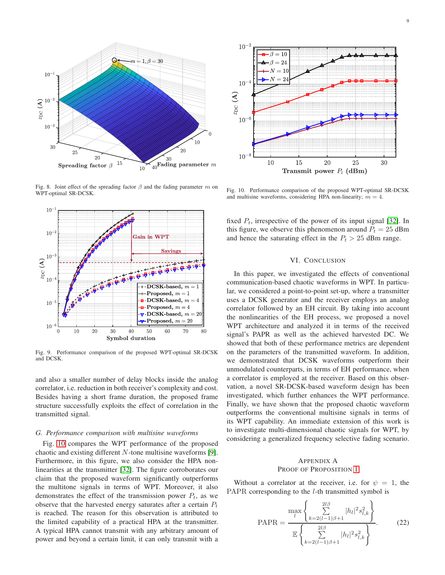

<span id="page-8-1"></span>Fig. 8. Joint effect of the spreading factor  $\beta$  and the fading parameter m on WPT-optimal SR-DCSK.



<span id="page-8-2"></span>Fig. 9. Performance comparison of the proposed WPT-optimal SR-DCSK and DCSK.

and also a smaller number of delay blocks inside the analog correlator, i.e. reduction in both receiver's complexity and cost. Besides having a short frame duration, the proposed frame structure successfully exploits the effect of correlation in the transmitted signal.

#### *G. Performance comparison with multisine waveforms*

Fig. [10](#page-8-3) compares the WPT performance of the proposed chaotic and existing different N-tone multisine waveforms [\[9\]](#page-11-8). Furthermore, in this figure, we also consider the HPA nonlinearities at the transmitter [\[32\]](#page-12-12). The figure corroborates our claim that the proposed waveform significantly outperforms the multitone signals in terms of WPT. Moreover, it also demonstrates the effect of the transmission power  $P_t$ , as we observe that the harvested energy saturates after a certain  $P_t$ is reached. The reason for this observation is attributed to the limited capability of a practical HPA at the transmitter. A typical HPA cannot transmit with any arbitrary amount of power and beyond a certain limit, it can only transmit with a



<span id="page-8-3"></span>Fig. 10. Performance comparison of the proposed WPT-optimal SR-DCSK and multisine waveforms, considering HPA non-linearity;  $m = 4$ .

fixed  $P_t$ , irrespective of the power of its input signal [\[32\]](#page-12-12). In this figure, we observe this phenomenon around  $P_t = 25$  dBm and hence the saturating effect in the  $P_t > 25$  dBm range.

## VI. CONCLUSION

In this paper, we investigated the effects of conventional communication-based chaotic waveforms in WPT. In particular, we considered a point-to-point set-up, where a transmitter uses a DCSK generator and the receiver employs an analog correlator followed by an EH circuit. By taking into account the nonlinearities of the EH process, we proposed a novel WPT architecture and analyzed it in terms of the received signal's PAPR as well as the achieved harvested DC. We showed that both of these performance metrics are dependent on the parameters of the transmitted waveform. In addition, we demonstrated that DCSK waveforms outperform their unmodulated counterparts, in terms of EH performance, when a correlator is employed at the receiver. Based on this observation, a novel SR-DCSK-based waveform design has been investigated, which further enhances the WPT performance. Finally, we have shown that the proposed chaotic waveform outperforms the conventional multisine signals in terms of its WPT capability. An immediate extension of this work is to investigate multi-dimensional chaotic signals for WPT, by considering a generalized frequency selective fading scenario.

## <span id="page-8-0"></span>APPENDIX A PROOF OF PROPOSITION [1](#page-2-5)

Without a correlator at the receiver, i.e. for  $\psi = 1$ , the PAPR corresponding to the *l*-th transmitted symbol is

$$
PAPR = \frac{\max_{l} \left\{ \sum_{k=2(l-1)\beta+1}^{2l\beta} |h_{l}|^{2} s_{l,k}^{2} \right\}}{\mathbb{E} \left\{ \sum_{k=2(l-1)\beta+1}^{2l\beta} |h_{l}|^{2} s_{l,k}^{2} \right\}}.
$$
 (22)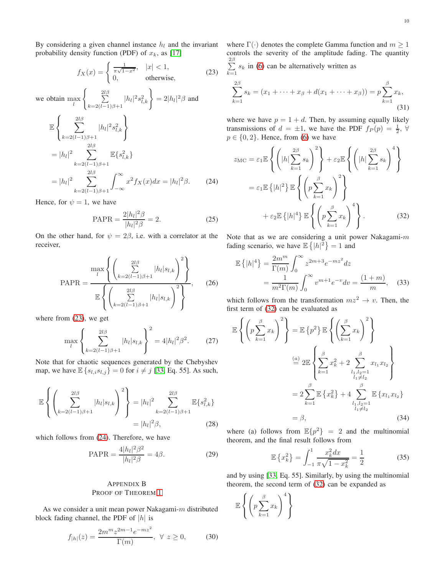$k=1$  $x_k,$ 

<span id="page-9-3"></span>(31)

By considering a given channel instance  $h_l$  and the invariant probability density function (PDF) of  $x_k$ , as [\[17\]](#page-11-16)

$$
f_X(x) = \begin{cases} \frac{1}{\pi\sqrt{1-x^2}}, & |x| < 1, \\ 0, & \text{otherwise,} \end{cases} \tag{23}
$$

we obtain  $\max_l$  $\begin{cases} 2l\beta \\ \sum \end{cases}$  $k=2(l-1)\beta+1$  $|h_l|^2 s_{l,k}^2 \} = 2|h_l|^2 \beta$  and

$$
\mathbb{E}\left\{\sum_{k=2(l-1)\beta+1}^{2l\beta} |h_l|^2 s_{l,k}^2\right\}\n= |h_l|^2 \sum_{k=2(l-1)\beta+1}^{2l\beta} \mathbb{E}\left\{s_{l,k}^2\right\}\n= |h_l|^2 \sum_{k=2(l-1)\beta+1}^{2l\beta} \int_{-\infty}^{\infty} x^2 f_X(x) dx = |h_l|^2 \beta.
$$
\n(24)

Hence, for  $\psi = 1$ , we have

PAPR = 
$$
\frac{2|h_l|^2 \beta}{|h_l|^2 \beta}
$$
 = 2. (25)

On the other hand, for  $\psi = 2\beta$ , i.e. with a correlator at the receiver,

$$
PAPR = \frac{\max_{l} \left\{ \left( \sum_{k=2(l-1)\beta+1}^{2l\beta} |h_{l}|s_{l,k} \right)^{2} \right\}}{\mathbb{E} \left\{ \left( \sum_{k=2(l-1)\beta+1}^{2l\beta} |h_{l}|s_{l,k} \right)^{2} \right\}},
$$
 (26)

where from [\(23\)](#page-9-1), we get

$$
\max_{l} \left\{ \sum_{k=2(l-1)\beta+1}^{2l\beta} |h_l| s_{l,k} \right\}^2 = 4|h_l|^2 \beta^2. \tag{27}
$$

Note that for chaotic sequences generated by the Chebyshev map, we have  $\mathbb{E}\left\{s_{l,i}s_{l,j}\right\} = 0$  for  $i \neq j$  [\[33,](#page-12-13) Eq. 55]. As such,

$$
\mathbb{E}\left\{\left(\sum_{k=2(l-1)\beta+1}^{2l\beta} |h_l|s_{l,k}\right)^2\right\} = |h_l|^2 \sum_{k=2(l-1)\beta+1}^{2l\beta} \mathbb{E}\{s_{l,k}^2\}
$$

$$
= |h_l|^2 \beta, \tag{28}
$$

which follows from [\(24\)](#page-9-2). Therefore, we have

PAPR = 
$$
\frac{4|h_l|^2 \beta^2}{|h_l|^2 \beta} = 4\beta.
$$
 (29)

## <span id="page-9-0"></span>APPENDIX B PROOF OF THEOREM [1](#page-3-1)

As we consider a unit mean power Nakagami-m distributed block fading channel, the PDF of  $|h|$  is

$$
f_{|h|}(z) = \frac{2m^m z^{2m-1} e^{-m z^2}}{\Gamma(m)}, \ \forall \ z \ge 0,
$$
 (30)

where  $\Gamma(\cdot)$  denotes the complete Gamma function and  $m \geq 1$ controls the severity of the amplitude fading. The quantity  $\sum_{ }^{2\beta}$ 

<span id="page-9-1"></span>
$$
\sum_{k=1} s_k \text{ in (6) can be alternatively written as}
$$

$$
\sum_{k=1}^{2\beta} s_k = (x_1 + \dots + x_\beta + d(x_1 + \dots + x_\beta)) = p \sum_{k=1}^{\beta}
$$

where we have  $p = 1 + d$ . Then, by assuming equally likely transmissions of  $d = \pm 1$ , we have the PDF  $f_P(p) = \frac{1}{2}$ ,  $\forall$  $p \in \{0, 2\}$ . Hence, from [\(6\)](#page-3-9) we have

<span id="page-9-2"></span>
$$
z_{\rm MC} = \varepsilon_1 \mathbb{E} \left\{ \left( |h| \sum_{k=1}^{2\beta} s_k \right)^2 \right\} + \varepsilon_2 \mathbb{E} \left\{ \left( |h| \sum_{k=1}^{2\beta} s_k \right)^4 \right\}
$$
  

$$
= \varepsilon_1 \mathbb{E} \left\{ |h|^2 \right\} \mathbb{E} \left\{ \left( p \sum_{k=1}^{\beta} x_k \right)^2 \right\}
$$
  

$$
+ \varepsilon_2 \mathbb{E} \left\{ |h|^4 \right\} \mathbb{E} \left\{ \left( p \sum_{k=1}^{\beta} x_k \right)^4 \right\}. \tag{32}
$$

Note that as we are considering a unit power Nakagami- $m$ fading scenario, we have  $\mathbb{E}\left\{|h|^2\right\}=1$  and

<span id="page-9-5"></span>
$$
\mathbb{E}\left\{|h|^{4}\right\} = \frac{2m^{m}}{\Gamma(m)} \int_{0}^{\infty} z^{2m+3} e^{-mz^{2}} dz
$$

$$
= \frac{1}{m^{2}\Gamma(m)} \int_{0}^{\infty} v^{m+1} e^{-v} dv = \frac{(1+m)}{m}, \quad (33)
$$

which follows from the transformation  $mz^2 \rightarrow v$ . Then, the first term of [\(32\)](#page-9-3) can be evaluated as

$$
\mathbb{E}\left\{\left(p\sum_{k=1}^{\beta}x_k\right)^2\right\} = \mathbb{E}\left\{p^2\right\}\mathbb{E}\left\{\left(\sum_{k=1}^{\beta}x_k\right)^2\right\}
$$

$$
\stackrel{(a)}{=} 2\mathbb{E}\left\{\sum_{k=1}^{\beta}x_k^2 + 2\sum_{\substack{l_1,l_2=1\\l_1\neq l_2}}^{\beta}x_{l_1}x_{l_2}\right\}
$$

$$
= 2\sum_{k=1}^{\beta}\mathbb{E}\left\{x_k^2\right\} + 4\sum_{\substack{l_1,l_2=1\\l_1\neq l_2}}^{\beta}\mathbb{E}\left\{x_{l_1}x_{l_2}\right\}
$$

$$
= \beta, \tag{34}
$$

where (a) follows from  $\mathbb{E}\{p^2\} = 2$  and the multinomial theorem, and the final result follows from

<span id="page-9-6"></span><span id="page-9-4"></span>
$$
\mathbb{E}\left\{x_k^2\right\} = \int_{-1}^1 \frac{x_k^2 dx}{\pi\sqrt{1 - x_k^2}} = \frac{1}{2} \tag{35}
$$

and by using [\[33,](#page-12-13) Eq. 55]. Similarly, by using the multinomial theorem, the second term of [\(32\)](#page-9-3) can be expanded as

$$
\mathbb{E}\left\{\left(p\sum_{k=1}^{\beta}x_k\right)^4\right\}
$$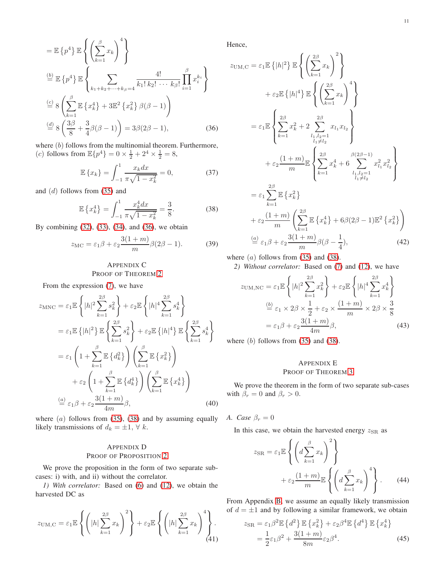$$
= \mathbb{E} \left\{ p^4 \right\} \mathbb{E} \left\{ \left( \sum_{k=1}^{\beta} x_k \right)^4 \right\}
$$
  
\n
$$
\stackrel{\text{(b)}{=} } \mathbb{E} \left\{ p^4 \right\} \mathbb{E} \left\{ \sum_{k_1 + k_2 + \dots + k_\beta = 4}^{4} \frac{4!}{k_1! \, k_2! \, \dots \, k_\beta!} \prod_{i=1}^{\beta} x_i^{k_i} \right\}
$$
  
\n
$$
\stackrel{\text{(c)}{=} 8 \left( \sum_{k=1}^{\beta} \mathbb{E} \left\{ x_k^4 \right\} + 3 \mathbb{E}^2 \left\{ x_k^2 \right\} \beta(\beta - 1) \right)
$$
  
\n
$$
\stackrel{\text{(d)}}{=} 8 \left( \frac{3\beta}{8} + \frac{3}{4} \beta(\beta - 1) \right) = 3\beta(2\beta - 1), \quad (36)
$$

where (b) follows from the multinomial theorem. Furthermore, (*c*) follows from  $\mathbb{E}\{p^4\} = 0 \times \frac{1}{2} + 2^4 \times \frac{1}{2} = 8$ ,

$$
\mathbb{E}\left\{x_k\right\} = \int_{-1}^{1} \frac{x_k dx}{\pi\sqrt{1 - x_k^2}} = 0,\tag{37}
$$

and (d) follows from [\(35\)](#page-9-4) and

<span id="page-10-4"></span>
$$
\mathbb{E}\left\{x_k^4\right\} = \int_{-1}^1 \frac{x_k^4 dx}{\pi\sqrt{1 - x_k^2}} = \frac{3}{8}.\tag{38}
$$

By combining [\(32\)](#page-9-3), [\(33\)](#page-9-5), [\(34\)](#page-9-6), and [\(36\)](#page-10-3), we obtain

$$
z_{\rm MC} = \varepsilon_1 \beta + \varepsilon_2 \frac{3(1+m)}{m} \beta(2\beta - 1).
$$
 (39)

## <span id="page-10-0"></span>APPENDIX C PROOF OF THEOREM [2](#page-3-2)

From the expression [\(7\)](#page-3-10), we have

$$
z_{\text{MNC}} = \varepsilon_1 \mathbb{E} \left\{ |h|^2 \sum_{k=1}^{2\beta} s_k^2 \right\} + \varepsilon_2 \mathbb{E} \left\{ |h|^4 \sum_{k=1}^{2\beta} s_k^4 \right\}
$$
  
\n
$$
= \varepsilon_1 \mathbb{E} \left\{ |h|^2 \right\} \mathbb{E} \left\{ \sum_{k=1}^{2\beta} s_k^2 \right\} + \varepsilon_2 \mathbb{E} \left\{ |h|^4 \right\} \mathbb{E} \left\{ \sum_{k=1}^{2\beta} s_k^4 \right\}
$$
  
\n
$$
= \varepsilon_1 \left( 1 + \sum_{k=1}^{\beta} \mathbb{E} \left\{ d_k^2 \right\} \right) \left( \sum_{k=1}^{\beta} \mathbb{E} \left\{ x_k^2 \right\} \right)
$$
  
\n
$$
+ \varepsilon_2 \left( 1 + \sum_{k=1}^{\beta} \mathbb{E} \left\{ d_k^4 \right\} \right) \left( \sum_{k=1}^{\beta} \mathbb{E} \left\{ x_k^4 \right\} \right)
$$
  
\n
$$
\stackrel{(a)}{=} \varepsilon_1 \beta + \varepsilon_2 \frac{3(1+m)}{4m} \beta,
$$
 (40)

where  $(a)$  follows from [\(35\)](#page-9-4), [\(38\)](#page-10-4) and by assuming equally likely transmissions of  $d_k = \pm 1, \forall k$ .

## <span id="page-10-1"></span>APPENDIX D PROOF OF PROPOSITION [2](#page-3-4)

We prove the proposition in the form of two separate subcases: i) with, and ii) without the correlator.

*1) With correlator:* Based on [\(6\)](#page-3-9) and [\(12\)](#page-3-3), we obtain the harvested DC as

$$
z_{\text{UM,C}} = \varepsilon_1 \mathbb{E}\left\{ \left( |h| \sum_{k=1}^{2\beta} x_k \right)^2 \right\} + \varepsilon_2 \mathbb{E}\left\{ \left( |h| \sum_{k=1}^{2\beta} x_k \right)^4 \right\}.
$$
\n(41)

Hence,

<span id="page-10-3"></span>
$$
z_{\text{UM,C}} = \varepsilon_1 \mathbb{E} \left\{ |h|^2 \right\} \mathbb{E} \left\{ \left( \sum_{k=1}^{2\beta} x_k \right)^2 \right\}
$$
  
+  $\varepsilon_2 \mathbb{E} \left\{ |h|^4 \right\} \mathbb{E} \left\{ \left( \sum_{k=1}^{2\beta} x_k \right)^4 \right\}$   
=  $\varepsilon_1 \mathbb{E} \left\{ \sum_{k=1}^{2\beta} x_k^2 + 2 \sum_{\substack{l_1, l_2=1 \\ l_1 \neq l_2}}^{2\beta} x_{l_1} x_{l_2} \right\}$   
+  $\varepsilon_2 \frac{(1+m)}{m} \mathbb{E} \left\{ \sum_{k=1}^{2\beta} x_k^4 + 6 \sum_{\substack{l_1, l_2=1 \\ l_1 \neq l_2}}^{2\beta} x_{l_1}^2 x_{l_2}^2 \right\}$   
=  $\varepsilon_1 \sum_{k=1}^{2\beta} \mathbb{E} \left\{ x_k^2 \right\}$   
+  $\varepsilon_2 \frac{(1+m)}{m} \left( \sum_{k=1}^{2\beta} \mathbb{E} \left\{ x_k^4 \right\} + 6\beta(2\beta - 1) \mathbb{E}^2 \left\{ x_k^2 \right\}$   
=  $\varepsilon_1 \beta + \varepsilon_2 \frac{3(1+m)}{m} \beta(\beta - \frac{1}{4}),$  (42)

where  $(a)$  follows from [\(35\)](#page-9-4) and [\(38\)](#page-10-4).

*2) Without correlator:* Based on [\(7\)](#page-3-10) and [\(12\)](#page-3-3), we have

$$
z_{\text{UM,NC}} = \varepsilon_1 \mathbb{E} \left\{ |h|^2 \sum_{k=1}^{2\beta} x_k^2 \right\} + \varepsilon_2 \mathbb{E} \left\{ |h|^4 \sum_{k=1}^{2\beta} x_k^4 \right\}
$$

$$
\stackrel{(b)}{=} \varepsilon_1 \times 2\beta \times \frac{1}{2} + \varepsilon_2 \times \frac{(1+m)}{m} \times 2\beta \times \frac{3}{8}
$$

$$
= \varepsilon_1 \beta + \varepsilon_2 \frac{3(1+m)}{4m} \beta,
$$
(43)

where  $(b)$  follows from  $(35)$  and  $(38)$ .

## <span id="page-10-2"></span>APPENDIX E

## PROOF OF THEOREM [3](#page-5-0)

We prove the theorem in the form of two separate sub-cases with  $\beta_r = 0$  and  $\beta_r > 0$ .

*A. Case*  $\beta_r = 0$ 

In this case, we obtain the harvested energy  $z_{\text{SR}}$  as

$$
z_{\rm SR} = \varepsilon_1 \mathbb{E} \left\{ \left( d \sum_{k=1}^{\beta} x_k \right)^2 \right\} + \varepsilon_2 \frac{(1+m)}{m} \mathbb{E} \left\{ \left( d \sum_{k=1}^{\beta} x_k \right)^4 \right\}. \tag{44}
$$

From Appendix [B,](#page-9-0) we assume an equally likely transmission of  $d = \pm 1$  and by following a similar framework, we obtain

$$
z_{\rm SR} = \varepsilon_1 \beta^2 \mathbb{E} \left\{ d^2 \right\} \mathbb{E} \left\{ x_k^2 \right\} + \varepsilon_2 \beta^4 \mathbb{E} \left\{ d^4 \right\} \mathbb{E} \left\{ x_k^4 \right\}
$$

$$
= \frac{1}{2} \varepsilon_1 \beta^2 + \frac{3(1+m)}{8m} \varepsilon_2 \beta^4. \tag{45}
$$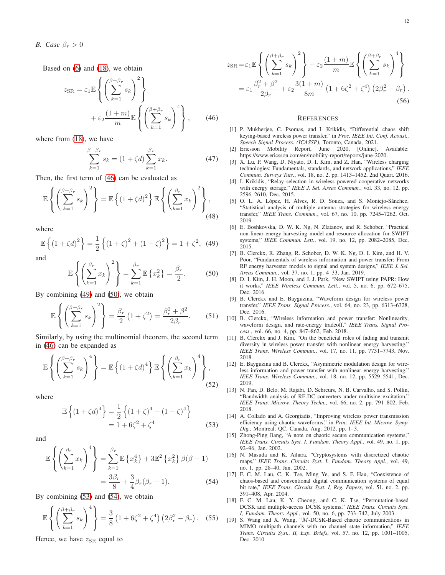Based on [\(6\)](#page-3-9) and [\(18\)](#page-4-4), we obtain

$$
z_{\rm SR} = \varepsilon_1 \mathbb{E} \left\{ \left( \sum_{k=1}^{\beta + \beta_r} s_k \right)^2 \right\} + \varepsilon_2 \frac{(1+m)}{m} \mathbb{E} \left\{ \left( \sum_{k=1}^{\beta + \beta_r} s_k \right)^4 \right\}, \qquad (46)
$$

where from [\(18\)](#page-4-4), we have

$$
\sum_{k=1}^{\beta+\beta_r} s_k = (1+\zeta d) \sum_{k=1}^{\beta_r} x_k.
$$
 (47)

Then, the first term of [\(46\)](#page-11-19) can be evaluated as

$$
\mathbb{E}\left\{ \left(\sum_{k=1}^{\beta+\beta_r} s_k\right)^2 \right\} = \mathbb{E}\left\{ \left(1+\zeta d\right)^2 \right\} \mathbb{E}\left\{ \left(\sum_{k=1}^{\beta_r} x_k\right)^2 \right\},\tag{48}
$$

where

<span id="page-11-20"></span>
$$
\mathbb{E}\left\{(1+\zeta d)^2\right\} = \frac{1}{2}\left\{(1+\zeta)^2 + (1-\zeta)^2\right\} = 1+\zeta^2, \tag{49}
$$

and

<span id="page-11-21"></span>
$$
\mathbb{E}\left\{ \left(\sum_{k=1}^{\beta_r} x_k\right)^2 \right\} = \sum_{k=1}^{\beta_r} \mathbb{E}\left\{x_k^2\right\} = \frac{\beta_r}{2}.
$$
 (50)

By combining [\(49\)](#page-11-20) and [\(50\)](#page-11-21), we obtain

$$
\mathbb{E}\left\{ \left( \sum_{k=1}^{\beta+\beta_r} s_k \right)^2 \right\} = \frac{\beta_r}{2} \left( 1 + \zeta^2 \right) = \frac{\beta_r^2 + \beta^2}{2\beta_r}.
$$
 (51)

Similarly, by using the multinomial theorem, the second term in [\(46\)](#page-11-19) can be expanded as

$$
\mathbb{E}\left\{ \left(\sum_{k=1}^{\beta+\beta_r} s_k\right)^4 \right\} = \mathbb{E}\left\{ \left(1+\zeta d\right)^4 \right\} \mathbb{E}\left\{ \left(\sum_{k=1}^{\beta_r} x_k\right)^4 \right\},\tag{52}
$$

where

$$
\mathbb{E}\left\{(1+\zeta d)^4\right\} = \frac{1}{2}\left\{(1+\zeta)^4 + (1-\zeta)^4\right\} \n= 1 + 6\zeta^2 + \zeta^4
$$
\n(53)

and

$$
\mathbb{E}\left\{ \left(\sum_{k=1}^{\beta_r} x_k\right)^4 \right\} = \sum_{k=1}^{\beta_r} \mathbb{E}\left\{x_k^4\right\} + 3\mathbb{E}^2\left\{x_k^2\right\} \beta(\beta - 1)
$$

$$
= \frac{3\beta_r}{8} + \frac{3}{4}\beta_r(\beta_r - 1). \tag{54}
$$

By combining [\(53\)](#page-11-22) and [\(54\)](#page-11-23), we obtain

$$
\mathbb{E}\left\{ \left(\sum_{k=1}^{\beta+\beta_r} s_k\right)^4 \right\} = \frac{3}{8} \left(1 + 6\zeta^2 + \zeta^4\right) \left(2\beta_r^2 - \beta_r\right). \quad (55)
$$

Hence, we have  $z_{SR}$  equal to

$$
z_{\rm SR} = \varepsilon_1 \mathbb{E} \left\{ \left( \sum_{k=1}^{\beta + \beta_r} s_k \right)^2 \right\} + \varepsilon_2 \frac{(1+m)}{m} \mathbb{E} \left\{ \left( \sum_{k=1}^{\beta + \beta_r} s_k \right)^4 \right\}
$$
  
=  $\varepsilon_1 \frac{\beta_r^2 + \beta^2}{2\beta_r} + \varepsilon_2 \frac{3(1+m)}{8m} \left( 1 + 6\zeta^2 + \zeta^4 \right) \left( 2\beta_r^2 - \beta_r \right).$  (56)

#### **REFERENCES**

- <span id="page-11-19"></span><span id="page-11-1"></span>[1] P. Mukherjee, C. Psomas, and I. Krikidis, "Differential chaos shift keying-based wireless power transfer," in *Proc. IEEE Int. Conf. Acoust., Speech Signal Process. (ICASSP)*, Toronto, Canada, 2021.
- <span id="page-11-0"></span>[2] Ericsson Mobility Report, June 2020, [Online]. Available: https://www.ericsson.com/en/mobility-report/reports/june-2020.
- <span id="page-11-2"></span>[3] X. Lu, P. Wang, D. Niyato, D. I. Kim, and Z. Han, "Wireless charging technologies: Fundamentals, standards, and network applications," *IEEE Commun. Surveys Tuts.*, vol. 18, no. 2, pp. 1413–1452, 2nd Quart. 2016.
- <span id="page-11-3"></span>[4] I. Krikidis, "Relay selection in wireless powered cooperative networks with energy storage," *IEEE J. Sel. Areas Commun.*, vol. 33, no. 12, pp. 2596–2610, Dec. 2015.
- <span id="page-11-4"></span>[5] O. L. A. López, H. Alves, R. D. Souza, and S. Montejo-Sánchez, "Statistical analysis of multiple antenna strategies for wireless energy transfer," *IEEE Trans. Commun.*, vol. 67, no. 10, pp. 7245–7262, Oct. 2019.
- <span id="page-11-5"></span>[6] E. Boshkovska, D. W. K. Ng, N. Zlatanov, and R. Schober, "Practical non-linear energy harvesting model and resource allocation for SWIPT systems," *IEEE Commun. Lett.*, vol. 19, no. 12, pp. 2082–2085, Dec. 2015.
- <span id="page-11-6"></span>[7] B. Clerckx, R. Zhang, R. Schober, D. W. K. Ng, D. I. Kim, and H. V. Poor, "Fundamentals of wireless information and power transfer: From RF energy harvester models to signal and system designs," *IEEE J. Sel. Areas Commun.*, vol. 37, no. 1, pp. 4–33, Jan. 2019.
- <span id="page-11-7"></span>[8] D. I. Kim, J. H. Moon, and J. J. Park, "New SWIPT using PAPR: How it works," *IEEE Wireless Commun. Lett.*, vol. 5, no. 6, pp. 672–675, Dec. 2016.
- <span id="page-11-8"></span>[9] B. Clerckx and E. Bayguzina, "Waveform design for wireless power transfer," *IEEE Trans. Signal Process.*, vol. 64, no. 23, pp. 6313–6328, Dec. 2016.
- <span id="page-11-10"></span>[10] B. Clerckx, "Wireless information and power transfer: Nonlinearity, waveform design, and rate-energy tradeoff," *IEEE Trans. Signal Process.*, vol. 66, no. 4, pp. 847–862, Feb. 2018.
- <span id="page-11-11"></span>[11] B. Clerckx and J. Kim, "On the beneficial roles of fading and transmit diversity in wireless power transfer with nonlinear energy harvesting," *IEEE Trans. Wireless Commun.*, vol. 17, no. 11, pp. 7731–7743, Nov. 2018.
- <span id="page-11-12"></span>[12] E. Bayguzina and B. Clerckx, "Asymmetric modulation design for wireless information and power transfer with nonlinear energy harvesting," *IEEE Trans. Wireless Commun.*, vol. 18, no. 12, pp. 5529–5541, Dec. 2019.
- <span id="page-11-9"></span>[13] N. Pan, D. Belo, M. Rajabi, D. Schreurs, N. B. Carvalho, and S. Pollin, "Bandwidth analysis of RF-DC converters under multisine excitation," *IEEE Trans. Microw. Theory Techn.*, vol. 66, no. 2, pp. 791–802, Feb. 2018.
- <span id="page-11-22"></span><span id="page-11-13"></span>[14] A. Collado and A. Georgiadis, "Improving wireless power transmission efficiency using chaotic waveforms," in *Proc. IEEE Int. Microw. Symp. Dig.*, Montreal, QC, Canada, Aug. 2012, pp. 1–3.
- <span id="page-11-14"></span>[15] Zhong-Ping Jiang, "A note on chaotic secure communication systems," *IEEE Trans. Circuits Syst. I. Fundam. Theory Appl.*, vol. 49, no. 1, pp. 92–96, Jan. 2002.
- <span id="page-11-15"></span>[16] N. Masuda and K. Aihara, "Cryptosystems with discretized chaotic maps," *IEEE Trans. Circuits Syst. I. Fundam. Theory Appl.*, vol. 49, no. 1, pp. 28–40, Jan. 2002.
- <span id="page-11-23"></span><span id="page-11-16"></span>[17] F. C. M. Lau, C. K. Tse, Ming Ye, and S. F. Hau, "Coexistence of chaos-based and conventional digital communication systems of equal bit rate," *IEEE Trans. Circuits Syst. I, Reg. Papers*, vol. 51, no. 2, pp. 391–408, Apr. 2004.
- <span id="page-11-17"></span>[18] F. C. M. Lau, K. Y. Cheong, and C. K. Tse, "Permutation-based DCSK and multiple-access DCSK systems," *IEEE Trans. Circuits Syst. I, Fundam. Theory Appl.*, vol. 50, no. 6, pp. 733–742, July 2003.
- <span id="page-11-18"></span>[19] S. Wang and X. Wang, "M-DCSK-Based chaotic communications in MIMO multipath channels with no channel state information," *IEEE Trans. Circuits Syst., II, Exp. Briefs*, vol. 57, no. 12, pp. 1001–1005, Dec. 2010.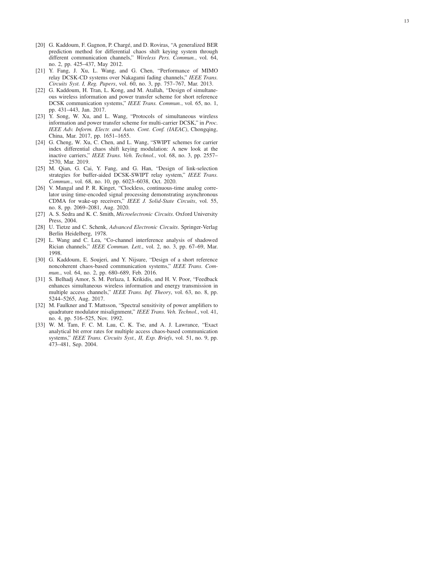- <span id="page-12-1"></span>[20] G. Kaddoum, F. Gagnon, P. Chargé, and D. Roviras, "A generalized BER prediction method for differential chaos shift keying system through different communication channels," *Wireless Pers. Commun.*, vol. 64, no. 2, pp. 425–437, May 2012.
- <span id="page-12-0"></span>[21] Y. Fang, J. Xu, L. Wang, and G. Chen, "Performance of MIMO relay DCSK-CD systems over Nakagami fading channels," *IEEE Trans. Circuits Syst. I, Reg. Papers*, vol. 60, no. 3, pp. 757–767, Mar. 2013.
- <span id="page-12-2"></span>[22] G. Kaddoum, H. Tran, L. Kong, and M. Atallah, "Design of simultaneous wireless information and power transfer scheme for short reference DCSK communication systems," *IEEE Trans. Commun.*, vol. 65, no. 1, pp. 431–443, Jan. 2017.
- <span id="page-12-4"></span>[23] Y. Song, W. Xu, and L. Wang, "Protocols of simultaneous wireless information and power transfer scheme for multi-carrier DCSK," in *Proc. IEEE Adv. Inform. Electr. and Auto. Cont. Conf. (IAEAC)*, Chongqing, China, Mar. 2017, pp. 1651–1655.
- <span id="page-12-5"></span>[24] G. Cheng, W. Xu, C. Chen, and L. Wang, "SWIPT schemes for carrier index differential chaos shift keying modulation: A new look at the inactive carriers," *IEEE Trans. Veh. Technol.*, vol. 68, no. 3, pp. 2557– 2570, Mar. 2019.
- <span id="page-12-3"></span>[25] M. Qian, G. Cai, Y. Fang, and G. Han, "Design of link-selection strategies for buffer-aided DCSK-SWIPT relay system," *IEEE Trans. Commun.*, vol. 68, no. 10, pp. 6023–6038, Oct. 2020.
- <span id="page-12-6"></span>[26] V. Mangal and P. R. Kinget, "Clockless, continuous-time analog correlator using time-encoded signal processing demonstrating asynchronous CDMA for wake-up receivers," *IEEE J. Solid-State Circuits*, vol. 55, no. 8, pp. 2069–2081, Aug. 2020.
- <span id="page-12-7"></span>[27] A. S. Sedra and K. C. Smith, *Microelectronic Circuits*. Oxford University Press, 2004.
- <span id="page-12-8"></span>[28] U. Tietze and C. Schenk, *Advanced Electronic Circuits*. Springer-Verlag Berlin Heidelberg, 1978.
- <span id="page-12-9"></span>[29] L. Wang and C. Lea, "Co-channel interference analysis of shadowed Rician channels," *IEEE Commun. Lett.*, vol. 2, no. 3, pp. 67–69, Mar. 1998.
- <span id="page-12-10"></span>[30] G. Kaddoum, E. Soujeri, and Y. Nijsure, "Design of a short reference noncoherent chaos-based communication systems," *IEEE Trans. Commun.*, vol. 64, no. 2, pp. 680–689, Feb. 2016.
- <span id="page-12-11"></span>[31] S. Belhadj Amor, S. M. Perlaza, I. Krikidis, and H. V. Poor, "Feedback enhances simultaneous wireless information and energy transmission in multiple access channels," *IEEE Trans. Inf. Theory*, vol. 63, no. 8, pp. 5244–5265, Aug. 2017.
- <span id="page-12-12"></span>[32] M. Faulkner and T. Mattsson, "Spectral sensitivity of power amplifiers to quadrature modulator misalignment," *IEEE Trans. Veh. Technol.*, vol. 41, no. 4, pp. 516–525, Nov. 1992.
- <span id="page-12-13"></span>[33] W. M. Tam, F. C. M. Lau, C. K. Tse, and A. J. Lawrance, "Exact analytical bit error rates for multiple access chaos-based communication systems," *IEEE Trans. Circuits Syst., II, Exp. Briefs*, vol. 51, no. 9, pp. 473–481, Sep. 2004.